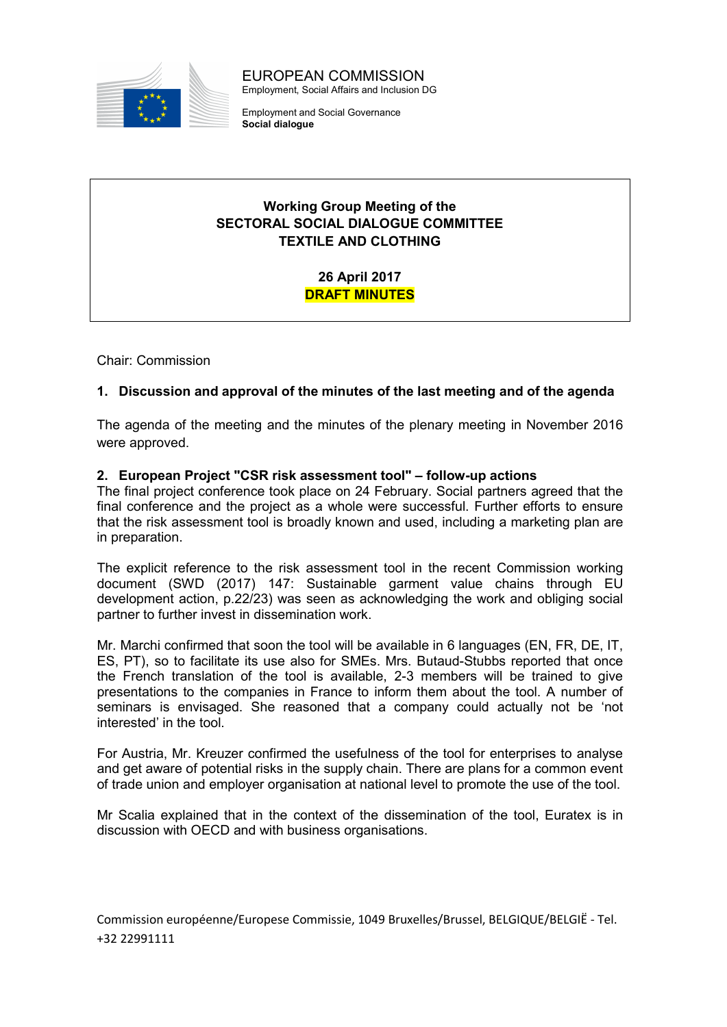

EUROPEAN COMMISSION Employment, Social Affairs and Inclusion DG

Employment and Social Governance Social dialogue

# Working Group Meeting of the SECTORAL SOCIAL DIALOGUE COMMITTEE TEXTILE AND CLOTHING

26 April 2017 DRAFT MINUTES

Chair: Commission

# 1. Discussion and approval of the minutes of the last meeting and of the agenda

The agenda of the meeting and the minutes of the plenary meeting in November 2016 were approved.

# 2. European Project "CSR risk assessment tool" – follow-up actions

The final project conference took place on 24 February. Social partners agreed that the final conference and the project as a whole were successful. Further efforts to ensure that the risk assessment tool is broadly known and used, including a marketing plan are in preparation.

The explicit reference to the risk assessment tool in the recent Commission working document (SWD (2017) 147: Sustainable garment value chains through EU development action, p.22/23) was seen as acknowledging the work and obliging social partner to further invest in dissemination work.

Mr. Marchi confirmed that soon the tool will be available in 6 languages (EN, FR, DE, IT, ES, PT), so to facilitate its use also for SMEs. Mrs. Butaud-Stubbs reported that once the French translation of the tool is available, 2-3 members will be trained to give presentations to the companies in France to inform them about the tool. A number of seminars is envisaged. She reasoned that a company could actually not be 'not interested' in the tool.

For Austria, Mr. Kreuzer confirmed the usefulness of the tool for enterprises to analyse and get aware of potential risks in the supply chain. There are plans for a common event of trade union and employer organisation at national level to promote the use of the tool.

Mr Scalia explained that in the context of the dissemination of the tool, Euratex is in discussion with OECD and with business organisations.

Commission européenne/Europese Commissie, 1049 Bruxelles/Brussel, BELGIQUE/BELGIË - Tel. +32 22991111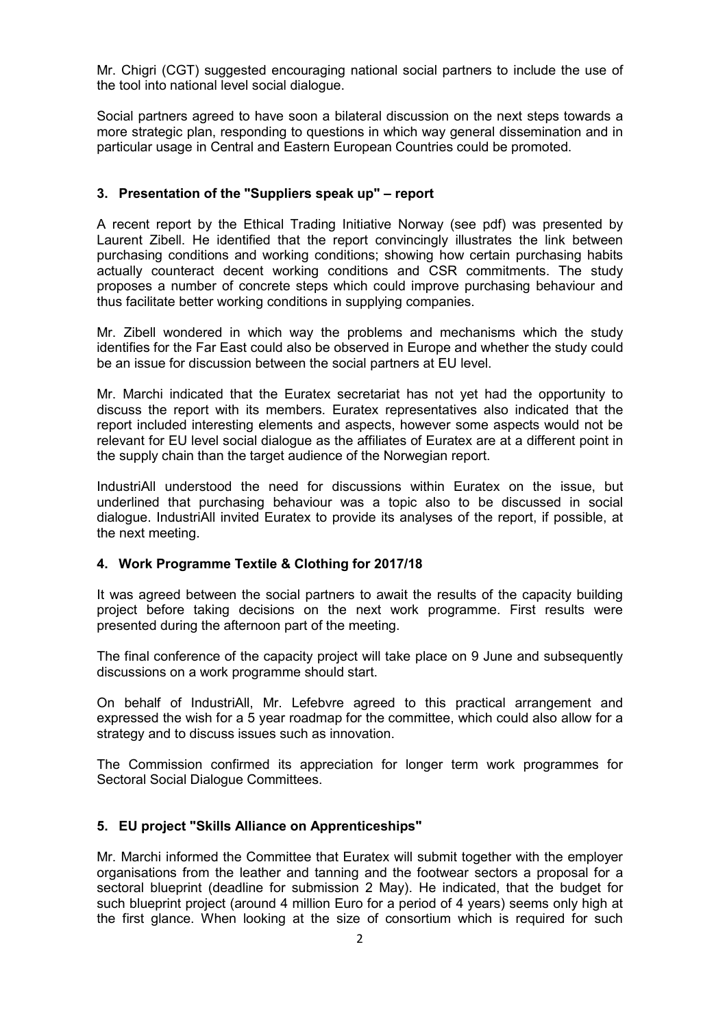Mr. Chigri (CGT) suggested encouraging national social partners to include the use of the tool into national level social dialogue.

Social partners agreed to have soon a bilateral discussion on the next steps towards a more strategic plan, responding to questions in which way general dissemination and in particular usage in Central and Eastern European Countries could be promoted.

# 3. Presentation of the "Suppliers speak up" – report

A recent report by the Ethical Trading Initiative Norway (see pdf) was presented by Laurent Zibell. He identified that the report convincingly illustrates the link between purchasing conditions and working conditions; showing how certain purchasing habits actually counteract decent working conditions and CSR commitments. The study proposes a number of concrete steps which could improve purchasing behaviour and thus facilitate better working conditions in supplying companies.

Mr. Zibell wondered in which way the problems and mechanisms which the study identifies for the Far East could also be observed in Europe and whether the study could be an issue for discussion between the social partners at EU level.

Mr. Marchi indicated that the Euratex secretariat has not yet had the opportunity to discuss the report with its members. Euratex representatives also indicated that the report included interesting elements and aspects, however some aspects would not be relevant for EU level social dialogue as the affiliates of Euratex are at a different point in the supply chain than the target audience of the Norwegian report.

IndustriAll understood the need for discussions within Euratex on the issue, but underlined that purchasing behaviour was a topic also to be discussed in social dialogue. IndustriAll invited Euratex to provide its analyses of the report, if possible, at the next meeting.

#### 4. Work Programme Textile & Clothing for 2017/18

It was agreed between the social partners to await the results of the capacity building project before taking decisions on the next work programme. First results were presented during the afternoon part of the meeting.

The final conference of the capacity project will take place on 9 June and subsequently discussions on a work programme should start.

On behalf of IndustriAll, Mr. Lefebvre agreed to this practical arrangement and expressed the wish for a 5 year roadmap for the committee, which could also allow for a strategy and to discuss issues such as innovation.

The Commission confirmed its appreciation for longer term work programmes for Sectoral Social Dialogue Committees.

# 5. EU project "Skills Alliance on Apprenticeships"

Mr. Marchi informed the Committee that Euratex will submit together with the employer organisations from the leather and tanning and the footwear sectors a proposal for a sectoral blueprint (deadline for submission 2 May). He indicated, that the budget for such blueprint project (around 4 million Euro for a period of 4 years) seems only high at the first glance. When looking at the size of consortium which is required for such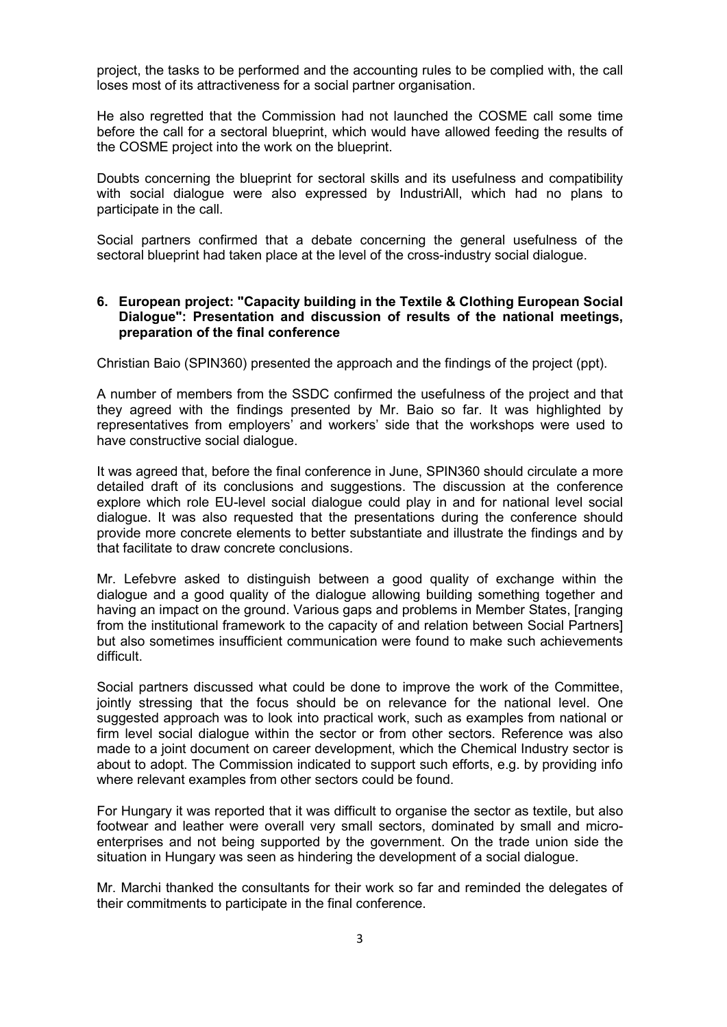project, the tasks to be performed and the accounting rules to be complied with, the call loses most of its attractiveness for a social partner organisation.

He also regretted that the Commission had not launched the COSME call some time before the call for a sectoral blueprint, which would have allowed feeding the results of the COSME project into the work on the blueprint.

Doubts concerning the blueprint for sectoral skills and its usefulness and compatibility with social dialogue were also expressed by IndustriAll, which had no plans to participate in the call.

Social partners confirmed that a debate concerning the general usefulness of the sectoral blueprint had taken place at the level of the cross-industry social dialogue.

#### 6. European project: "Capacity building in the Textile & Clothing European Social Dialogue": Presentation and discussion of results of the national meetings, preparation of the final conference

Christian Baio (SPIN360) presented the approach and the findings of the project (ppt).

A number of members from the SSDC confirmed the usefulness of the project and that they agreed with the findings presented by Mr. Baio so far. It was highlighted by representatives from employers' and workers' side that the workshops were used to have constructive social dialogue.

It was agreed that, before the final conference in June, SPIN360 should circulate a more detailed draft of its conclusions and suggestions. The discussion at the conference explore which role EU-level social dialogue could play in and for national level social dialogue. It was also requested that the presentations during the conference should provide more concrete elements to better substantiate and illustrate the findings and by that facilitate to draw concrete conclusions.

Mr. Lefebvre asked to distinguish between a good quality of exchange within the dialogue and a good quality of the dialogue allowing building something together and having an impact on the ground. Various gaps and problems in Member States, [ranging from the institutional framework to the capacity of and relation between Social Partners] but also sometimes insufficient communication were found to make such achievements difficult.

Social partners discussed what could be done to improve the work of the Committee, jointly stressing that the focus should be on relevance for the national level. One suggested approach was to look into practical work, such as examples from national or firm level social dialogue within the sector or from other sectors. Reference was also made to a joint document on career development, which the Chemical Industry sector is about to adopt. The Commission indicated to support such efforts, e.g. by providing info where relevant examples from other sectors could be found.

For Hungary it was reported that it was difficult to organise the sector as textile, but also footwear and leather were overall very small sectors, dominated by small and microenterprises and not being supported by the government. On the trade union side the situation in Hungary was seen as hindering the development of a social dialogue.

Mr. Marchi thanked the consultants for their work so far and reminded the delegates of their commitments to participate in the final conference.